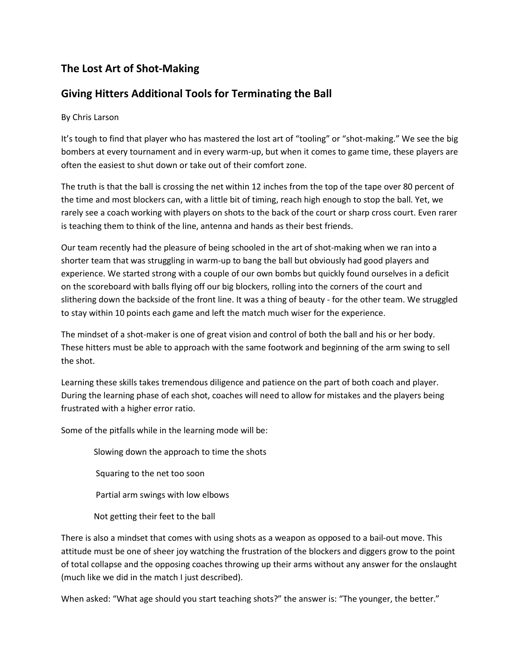## **The Lost Art of Shot-Making**

## **Giving Hitters Additional Tools for Terminating the Ball**

## By Chris Larson

It's tough to find that player who has mastered the lost art of "tooling" or "shot-making." We see the big bombers at every tournament and in every warm-up, but when it comes to game time, these players are often the easiest to shut down or take out of their comfort zone.

The truth is that the ball is crossing the net within 12 inches from the top of the tape over 80 percent of the time and most blockers can, with a little bit of timing, reach high enough to stop the ball. Yet, we rarely see a coach working with players on shots to the back of the court or sharp cross court. Even rarer is teaching them to think of the line, antenna and hands as their best friends.

Our team recently had the pleasure of being schooled in the art of shot-making when we ran into a shorter team that was struggling in warm-up to bang the ball but obviously had good players and experience. We started strong with a couple of our own bombs but quickly found ourselves in a deficit on the scoreboard with balls flying off our big blockers, rolling into the corners of the court and slithering down the backside of the front line. It was a thing of beauty - for the other team. We struggled to stay within 10 points each game and left the match much wiser for the experience.

The mindset of a shot-maker is one of great vision and control of both the ball and his or her body. These hitters must be able to approach with the same footwork and beginning of the arm swing to sell the shot.

Learning these skills takes tremendous diligence and patience on the part of both coach and player. During the learning phase of each shot, coaches will need to allow for mistakes and the players being frustrated with a higher error ratio.

Some of the pitfalls while in the learning mode will be:

 Slowing down the approach to time the shots Squaring to the net too soon Partial arm swings with low elbows

Not getting their feet to the ball

There is also a mindset that comes with using shots as a weapon as opposed to a bail-out move. This attitude must be one of sheer joy watching the frustration of the blockers and diggers grow to the point of total collapse and the opposing coaches throwing up their arms without any answer for the onslaught (much like we did in the match I just described).

When asked: "What age should you start teaching shots?" the answer is: "The younger, the better."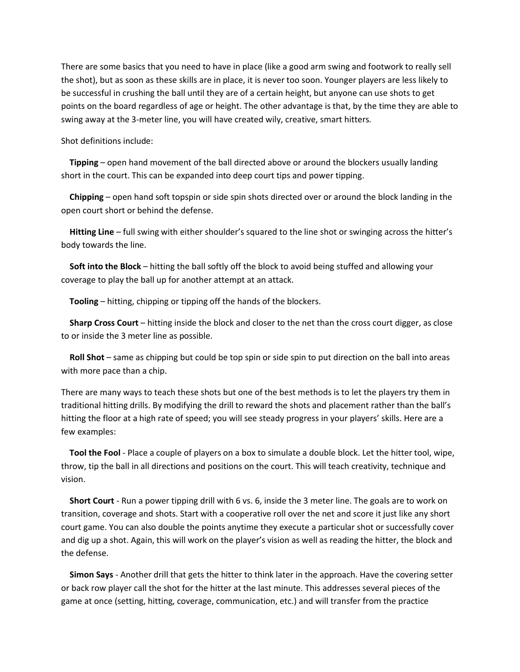There are some basics that you need to have in place (like a good arm swing and footwork to really sell the shot), but as soon as these skills are in place, it is never too soon. Younger players are less likely to be successful in crushing the ball until they are of a certain height, but anyone can use shots to get points on the board regardless of age or height. The other advantage is that, by the time they are able to swing away at the 3-meter line, you will have created wily, creative, smart hitters.

Shot definitions include:

 **Tipping** – open hand movement of the ball directed above or around the blockers usually landing short in the court. This can be expanded into deep court tips and power tipping.

 **Chipping** – open hand soft topspin or side spin shots directed over or around the block landing in the open court short or behind the defense.

 **Hitting Line** – full swing with either shoulder's squared to the line shot or swinging across the hitter's body towards the line.

 **Soft into the Block** – hitting the ball softly off the block to avoid being stuffed and allowing your coverage to play the ball up for another attempt at an attack.

**Tooling** – hitting, chipping or tipping off the hands of the blockers.

 **Sharp Cross Court** – hitting inside the block and closer to the net than the cross court digger, as close to or inside the 3 meter line as possible.

 **Roll Shot** – same as chipping but could be top spin or side spin to put direction on the ball into areas with more pace than a chip.

There are many ways to teach these shots but one of the best methods is to let the players try them in traditional hitting drills. By modifying the drill to reward the shots and placement rather than the ball's hitting the floor at a high rate of speed; you will see steady progress in your players' skills. Here are a few examples:

 **Tool the Fool** - Place a couple of players on a box to simulate a double block. Let the hitter tool, wipe, throw, tip the ball in all directions and positions on the court. This will teach creativity, technique and vision.

 **Short Court** - Run a power tipping drill with 6 vs. 6, inside the 3 meter line. The goals are to work on transition, coverage and shots. Start with a cooperative roll over the net and score it just like any short court game. You can also double the points anytime they execute a particular shot or successfully cover and dig up a shot. Again, this will work on the player's vision as well as reading the hitter, the block and the defense.

 **Simon Says** - Another drill that gets the hitter to think later in the approach. Have the covering setter or back row player call the shot for the hitter at the last minute. This addresses several pieces of the game at once (setting, hitting, coverage, communication, etc.) and will transfer from the practice